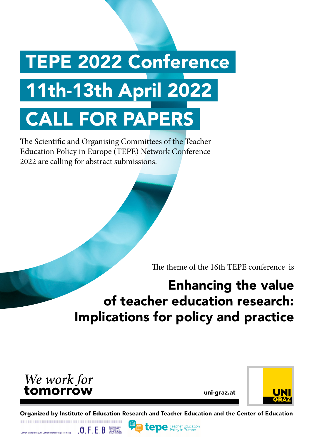# TEPE 2022 Conference 11th-13th April 2022 CALL FOR PAPERS

The Scientific and Organising Committees of the Teacher Education Policy in Europe (TEPE) Network Conference 2022 are calling for abstract submissions.

The theme of the 16th TEPE conference is

# Enhancing the value of teacher education research: Implications for policy and practice



LehrerInnenbildung und LehrerInnenbildungsforschung

 $\mathbf{0}$ ,  $\mathsf{F}$ ,  $\mathsf{E}$ ,  $\mathsf{B}$ ,  $\frac{\text{Stochasticed}}{\text{MSE}(\mathsf{MSE})}$ 

uni-graz.at



Organized by Institute of Education Research and Teacher Education and the Center of Education

**tepe** Teacher Education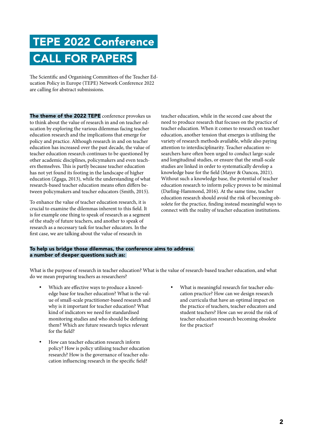# TEPE 2022 Conference CALL FOR PAPERS

The Scientific and Organising Committees of the Teacher Education Policy in Europe (TEPE) Network Conference 2022 are calling for abstract submissions.

The theme of the 2022 TEPE conference provokes us to think about the value of research in and on teacher education by exploring the various dilemmas facing teacher education research and the implications that emerge for policy and practice. Although research in and on teacher education has increased over the past decade, the value of teacher education research continues to be questioned by other academic disciplines, policymakers and even teachers themselves. This is partly because teacher education has not yet found its footing in the landscape of higher education (Zgaga, 2013), while the understanding of what research-based teacher education means often differs between policymakers and teacher educators (Smith, 2015).

To enhance the value of teacher education research, it is crucial to examine the dilemmas inherent to this field. It is for example one thing to speak of research as a segment of the study of future teachers, and another to speak of research as a necessary task for teacher educators. In the first case, we are talking about the value of research in

teacher education, while in the second case about the need to produce research that focuses on the practice of teacher education. When it comes to research on teacher education, another tension that emerges is utilising the variety of research methods available, while also paying attention to interdisciplinarity. Teacher education researchers have often been urged to conduct large-scale and longitudinal studies, or ensure that the small-scale studies are linked in order to systematically develop a knowledge base for the field (Mayer & Oancea, 2021). Without such a knowledge base, the potential of teacher education research to inform policy proves to be minimal (Darling-Hammond, 2016). At the same time, teacher education research should avoid the risk of becoming obsolete for the practice, finding instead meaningful ways to connect with the reality of teacher education institutions.

#### To help us bridge those dilemmas, the conference aims to address a number of deeper questions such as:

What is the purpose of research in teacher education? What is the value of research-based teacher education, and what do we mean preparing teachers as researchers?

- Which are effective ways to produce a knowledge base for teacher education? What is the value of small-scale practitioner-based research and why is it important for teacher education? What kind of indicators we need for standardised monitoring studies and who should be defining them? Which are future research topics relevant for the field?
- • How can teacher education research inform policy? How is policy utilising teacher education research? How is the governance of teacher education influencing research in the specific field?
- What is meaningful research for teacher education practice? How can we design research and curricula that have an optimal impact on the practice of teachers, teacher educators and student teachers? How can we avoid the risk of teacher education research becoming obsolete for the practice?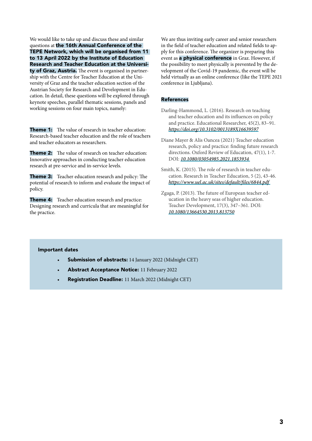We would like to take up and discuss these and similar questions at the 16th Annual Conference of the TEPE Network, which will be organised from 11 to 13 April 2022 by the Institute of Education Research and Teacher Education at the University of Graz, Austria. The event is organised in partnership with the Centre for Teacher Education at the University of Graz and the teacher education section of the Austrian Society for Research and Development in Education. In detail, these questions will be explored through keynote speeches, parallel thematic sessions, panels and working sessions on four main topics, namely:

**Theme 1:** The value of research in teacher education: Research-based teacher education and the role of teachers and teacher educators as researchers.

**Theme 2:** The value of research on teacher education: Innovative approaches in conducting teacher education research at pre-service and in-service levels.

**Theme 3:** Teacher education research and policy: The potential of research to inform and evaluate the impact of policy.

**Theme 4:** Teacher education research and practice: Designing research and curricula that are meaningful for the practice.

We are thus inviting early career and senior researchers in the field of teacher education and related fields to apply for this conference. The organizer is preparing this event as **a physical conference** in Graz. However, if the possibility to meet physically is prevented by the development of the Covid-19 pandemic, the event will be held virtually as an online conference (like the TEPE 2021 conference in Ljubljana).

#### References

- Darling-Hammond, L. (2016). Research on teaching and teacher education and its influences on policy and practice. Educational Researcher, 45(2), 83–91. *https://doi.org/10.3102/0013189X16639597*
- Diane Mayer & Alis Oancea (2021) Teacher education research, policy and practice: finding future research directions. Oxford Review of Education, 47(1), 1-7. DOI: *10.1080/03054985.2021.1853934*
- Smith, K. (2015). The role of research in teacher education. Research in Teacher Education, 5 (2), 43-46. *https://www.uel.ac.uk/sites/default/files/6844.pdf*
- Zgaga, P. (2013). The future of European teacher education in the heavy seas of higher education. Teacher Development, 17(3), 347–361. DOI: *10.1080/13664530.2013.813750*

# Important dates

- Submission of abstracts: 14 January 2022 (Midnight CET)
- Abstract Acceptance Notice: 11 February 2022
- Registration Deadline: 11 March 2022 (Midnight CET)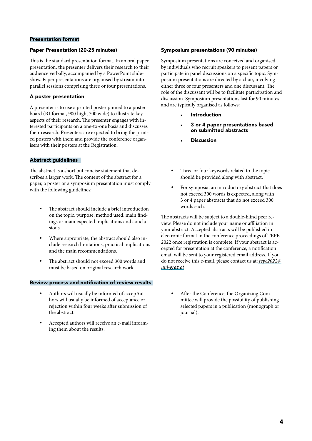# Presentation format

## Paper Presentation (20-25 minutes)

This is the standard presentation format. In an oral paper presentation, the presenter delivers their research to their audience verbally, accompanied by a PowerPoint slideshow. Paper presentations are organised by stream into parallel sessions comprising three or four presentations.

# A poster presentation

A presenter is to use a printed poster pinned to a poster board (B1 format, 900 high, 700 wide) to illustrate key aspects of their research. The presenter engages with interested participants on a one-to-one basis and discusses their research. Presenters are expected to bring the printed posters with them and provide the conference organisers with their posters at the Registration.

# Abstract guidelines

The abstract is a short but concise statement that describes a larger work. The content of the abstract for a paper, a poster or a symposium presentation must comply with the following guidelines:

- The abstract should include a brief introduction on the topic, purpose, method used, main findings or main expected implications and conclusions.
- Where appropriate, the abstract should also include research limitations, practical implications and the main recommendations.
- The abstract should not exceed 300 words and must be based on original research work.

#### Review process and notification of review results

- Authors will usually be informed of accepAuthors will usually be informed of acceptance or rejection within four weeks after submission of the abstract.
- Accepted authors will receive an e-mail informing them about the results.

## Symposium presentations (90 minutes)

Symposium presentations are conceived and organised by individuals who recruit speakers to present papers or participate in panel discussions on a specific topic. Symposium presentations are directed by a chair, involving either three or four presenters and one discussant. The role of the discussant will be to facilitate participation and discussion. Symposium presentations last for 90 minutes and are typically organised as follows:

- **Introduction**
- 3 or 4 paper presentations based on submitted abstracts
- **Discussion**
- Three or four keywords related to the topic should be provided along with abstract.
- For symposia, an introductory abstract that does not exceed 300 words is expected, along with 3 or 4 paper abstracts that do not exceed 300 words each.

The abstracts will be subject to a double-blind peer review. Please do not include your name or affiliation in your abstract. Accepted abstracts will be published in electronic format in the conference proceedings of TEPE 2022 once registration is complete. If your abstract is accepted for presentation at the conference, a notification email will be sent to your registered email address. If you do not receive this e-mail, please contact us at: *tepe2022@ uni-graz.at*

After the Conference, the Organizing Committee will provide the possibility of publishing selected papers in a publication (monograph or journal).